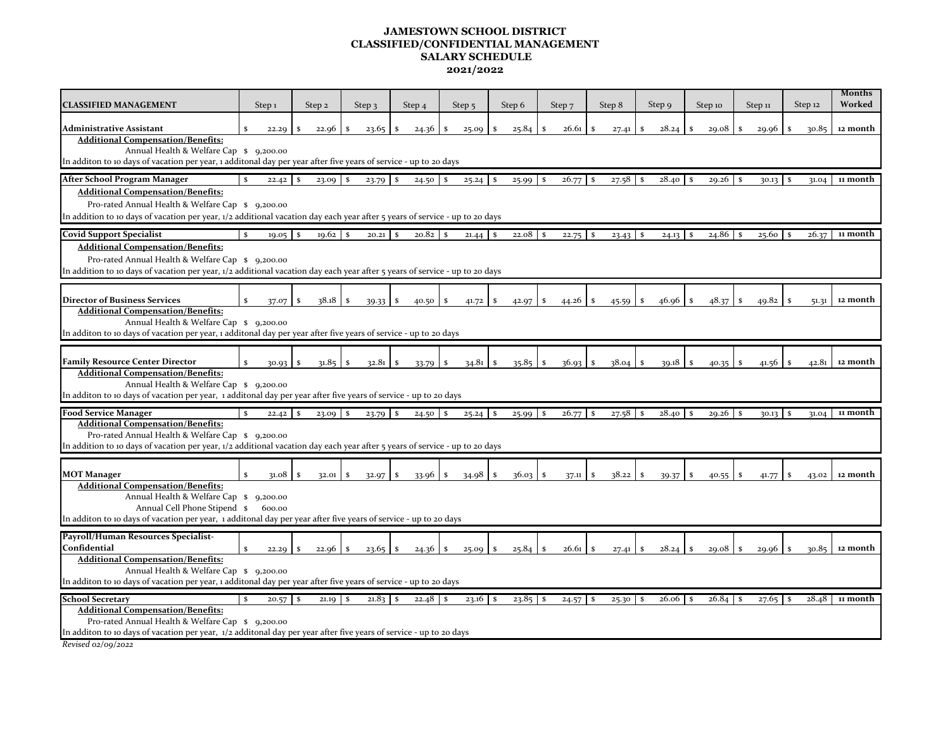## **JAMESTOWN SCHOOL DISTRICT CLASSIFIED/CONFIDENTIAL MANAGEMENT SALARY SCHEDULE 2021/2022**

| <b>CLASSIFIED MANAGEMENT</b>                                                                                                                                                                                                                                                                                                                                                                                                                 | Step <sub>1</sub> |       | Step 2   |       | Step $\overline{3}$ | Step 4<br>Step <sub>5</sub> |                       | Step 6                | Step <sub>7</sub>     | Step 8           | Step 9      | Step 10      | Step 11 | Step 12               | <b>Months</b><br>Worked |
|----------------------------------------------------------------------------------------------------------------------------------------------------------------------------------------------------------------------------------------------------------------------------------------------------------------------------------------------------------------------------------------------------------------------------------------------|-------------------|-------|----------|-------|---------------------|-----------------------------|-----------------------|-----------------------|-----------------------|------------------|-------------|--------------|---------|-----------------------|-------------------------|
| Administrative Assistant                                                                                                                                                                                                                                                                                                                                                                                                                     |                   | 22.29 |          | 22.96 | 23.65               | 24.36                       | 25.09<br>-S           | S.<br>25.84           | 26.61                 | 27.41            | 28.24       | 29.08        | 29.96   | 30.85                 | 12 month                |
| <b>Additional Compensation/Benefits:</b><br>Annual Health & Welfare Cap \$ 9,200.00<br>In additon to 10 days of vacation per year, 1 additonal day per year after five years of service - up to 20 days                                                                                                                                                                                                                                      |                   |       |          |       |                     |                             |                       |                       |                       |                  |             |              |         |                       |                         |
| After School Program Manager                                                                                                                                                                                                                                                                                                                                                                                                                 | $\mathbf{s}$      | 22.42 |          | 23.09 | 23.79<br>S          | $24.50$ \$                  | 25.24                 | 25.99<br>- \$         | 26.77<br>-S           | -S               |             | 29.26        | 30.13   | 31.04                 | 11 month                |
| <b>Additional Compensation/Benefits:</b><br>Pro-rated Annual Health & Welfare Cap \$ 9,200.00<br>In addition to 10 days of vacation per year, 1/2 additional vacation day each year after 5 years of service - up to 20 days                                                                                                                                                                                                                 |                   |       |          |       |                     |                             |                       |                       |                       |                  |             |              |         |                       |                         |
| <b>Covid Support Specialist</b>                                                                                                                                                                                                                                                                                                                                                                                                              | S.                | 19.05 | - S      | 19.62 | <b>S</b><br>20.21   | 20.82                       | <sup>S</sup><br>21.44 | 22.08<br>$\mathbf{s}$ | $\mathbf{s}$<br>22.75 | $23.43$ \$<br>-S | $24.13$ \$  | 24.86        | 25.60   | 26.37                 | 11 month                |
| <b>Additional Compensation/Benefits:</b><br>Pro-rated Annual Health & Welfare Cap \$ 9,200.00<br>In addition to 10 days of vacation per year, 1/2 additional vacation day each year after 5 years of service - up to 20 days                                                                                                                                                                                                                 |                   |       |          |       |                     |                             |                       |                       |                       |                  |             |              |         |                       |                         |
|                                                                                                                                                                                                                                                                                                                                                                                                                                              |                   |       |          |       |                     |                             |                       |                       |                       |                  |             |              |         |                       |                         |
| <b>Director of Business Services</b><br>38.18<br>48.37<br>$\mathbf{s}$<br>46.96<br>49.82<br>12 month<br>$\mathbf{s}$<br>\$<br>44.26<br>S.<br>l s<br>37.07<br>39.33<br>-S<br>40.50<br>S.<br>41.72<br>42.97<br>-S<br>45.59<br>51.31<br><b>Additional Compensation/Benefits:</b><br>Annual Health & Welfare Cap \$ 9,200.00<br>In additon to 10 days of vacation per year, 1 additonal day per year after five years of service - up to 20 days |                   |       |          |       |                     |                             |                       |                       |                       |                  |             |              |         |                       |                         |
| <b>Family Resource Center Director</b>                                                                                                                                                                                                                                                                                                                                                                                                       |                   | 30.93 | S        | 31.85 | 32.81<br>S.         | \$<br>33.79                 | 34.81<br>\$           | 35.85<br>$\mathbf{s}$ | \$<br>36.93           | 38.04<br>S.      | 39.18<br>S. | 40.35        | 41.56   | 42.81                 | 12 month                |
| <b>Additional Compensation/Benefits:</b><br>Annual Health & Welfare Cap \$ 9,200.00<br>In additon to 10 days of vacation per year, 1 additonal day per year after five years of service - up to 20 days                                                                                                                                                                                                                                      |                   |       |          |       |                     |                             |                       |                       |                       |                  |             |              |         |                       |                         |
| <b>Food Service Manager</b>                                                                                                                                                                                                                                                                                                                                                                                                                  |                   | 22.42 | <b>S</b> | 23.09 | <b>S</b><br>23.79   | $24.50$ \$                  | $25.24$ \$            | 25.99                 | -S<br>26.77           | 27.58<br>-S      | -S          | 29.26        | 30.13   | 31.04<br>-S           | 11 month                |
| <b>Additional Compensation/Benefits:</b><br>Pro-rated Annual Health & Welfare Cap \$ 9,200.00<br>In addition to 10 days of vacation per year, 1/2 additional vacation day each year after 5 years of service - up to 20 days                                                                                                                                                                                                                 |                   |       |          |       |                     |                             |                       |                       |                       |                  |             |              |         |                       |                         |
| <b>MOT Manager</b>                                                                                                                                                                                                                                                                                                                                                                                                                           | S.                | 31.08 | <b>S</b> | 32.01 | S.<br>32.97         | l \$                        | 34.98                 | 36.03<br><sup>S</sup> | - S<br>37.11          | 38.22<br>S.      | S.<br>39.37 | 40.55<br>-S  | 41.77   | 43.02                 | 12 month                |
| <b>Additional Compensation/Benefits:</b><br>Annual Health & Welfare Cap \$ 9,200.00<br>Annual Cell Phone Stipend \$ 600.00<br>In additon to 10 days of vacation per year, 1 additonal day per year after five years of service - up to 20 days                                                                                                                                                                                               |                   |       |          |       |                     |                             |                       |                       |                       |                  |             |              |         |                       |                         |
| Payroll/Human Resources Specialist-                                                                                                                                                                                                                                                                                                                                                                                                          |                   |       |          |       |                     |                             |                       |                       |                       |                  |             |              |         |                       |                         |
| Confidential<br><b>Additional Compensation/Benefits:</b>                                                                                                                                                                                                                                                                                                                                                                                     | S                 | 22.29 | -S       | 22.96 | 23.65<br>S.         | S.<br>24.36                 | 25.09<br><sup>S</sup> | 25.84<br>$\mathbf{s}$ | 26.61<br>S.           | -S<br>27.41      | 28.24<br>s  | 29.08        | 29.96   | 30.85                 | 12 month                |
| Annual Health & Welfare Cap \$ 9,200.00<br>In additon to 10 days of vacation per year, 1 additonal day per year after five years of service - up to 20 days                                                                                                                                                                                                                                                                                  |                   |       |          |       |                     |                             |                       |                       |                       |                  |             |              |         |                       |                         |
| <b>School Secretary</b>                                                                                                                                                                                                                                                                                                                                                                                                                      |                   | 20.57 | -S       | 21.19 | 21.83<br>-S         |                             | 23.16                 | 23.85<br>- S          | $\mathbf{s}$<br>24.57 | 25.30<br>-S      | 26.06<br>-S | 26.84<br>l s | 27.65   | 28.48<br>$\mathbf{s}$ | 11 month                |
| <b>Additional Compensation/Benefits:</b><br>Pro-rated Annual Health & Welfare Cap \$ 9,200.00<br>In additon to 10 days of vacation per year, 1/2 additonal day per year after five years of service - up to 20 days                                                                                                                                                                                                                          |                   |       |          |       |                     |                             |                       |                       |                       |                  |             |              |         |                       |                         |

*Revised 02/09/2022*